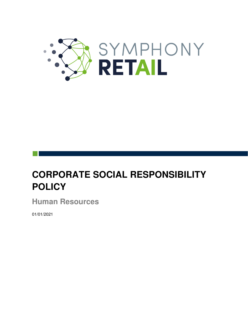

# **CORPORATE SOCIAL RESPONSIBILITY POLICY**

**Human Resources**

01/01/2021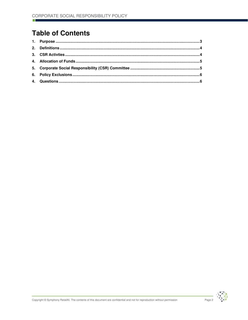## **Table of Contents**



Page 2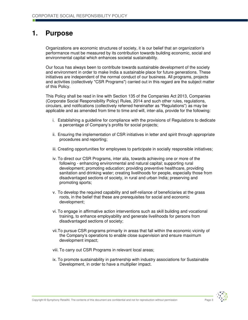#### **1. Purpose**

Organizations are economic structures of society, it is our belief that an organization's performance must be measured by its contribution towards building economic, social and environmental capital which enhances societal sustainability.

Our focus has always been to contribute towards sustainable development of the society and environment in order to make India a sustainable place for future generations. These initiatives are independent of the normal conduct of our business. All programs, projects and activities (collectively "CSR Programs") carried out in this regard are the subject matter of this Policy.

This Policy shall be read in line with Section 135 of the Companies Act 2013, Companies (Corporate Social Responsibility Policy) Rules, 2014 and such other rules, regulations, circulars, and notifications (collectively referred hereinafter as "Regulations") as may be applicable and as amended from time to time and will, inter-alia, provide for the following:

- i. Establishing a guideline for compliance with the provisions of Regulations to dedicate a percentage of Company's profits for social projects;
- ii. Ensuring the implementation of CSR initiatives in letter and spirit through appropriate procedures and reporting;
- iii. Creating opportunities for employees to participate in socially responsible initiatives;
- iv. To direct our CSR Programs, inter alia, towards achieving one or more of the following - enhancing environmental and natural capital; supporting rural development; promoting education; providing preventive healthcare, providing sanitation and drinking water; creating livelihoods for people, especially those from disadvantaged sections of society, in rural and urban India; preserving and promoting sports;
- v. To develop the required capability and self-reliance of beneficiaries at the grass roots, in the belief that these are prerequisites for social and economic development;
- vi. To engage in affirmative action interventions such as skill building and vocational training, to enhance employability and generate livelihoods for persons from disadvantaged sections of society;
- vii. To pursue CSR programs primarily in areas that fall within the economic vicinity of the Company's operations to enable close supervision and ensure maximum development impact;
- viii. To carry out CSR Programs in relevant local areas;
- ix. To promote sustainability in partnership with industry associations for Sustainable Development, in order to have a multiplier impact.

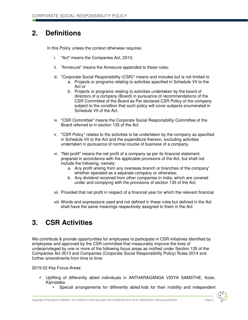## **2. Definitions**

In this Policy unless the context otherwise requires:

- i. "Act" means the Companies Act, 2013;
- ii. "Annexure" means the Annexure appended to these rules;
- iii. "Corporate Social Responsibility (CSR)" means and includes but is not limited to
	- a. Projects or programs relating to activities specified in Schedule VII to the Act or
	- b. Projects or programs relating to activities undertaken by the board of directors of a company (Board) in pursuance of recommendations of the CSR Committee of the Board as Per declared CSR Policy of the company subject to the condition that such policy will cover subjects enumerated in Schedule VII of the Act.
- iv. "CSR Committee" means the Corporate Social Responsibility Committee of the Board referred to in section 135 of the Act
- v. "CSR Policy" relates to the activities to be undertaken by the company as specified in Schedule VII to the Act and the expenditure thereon, excluding activities undertaken in pursuance of normal course of business of a company.
- vi. "Net profit" means the net profit of a company as per its financial statement prepared in accordance with the applicable provisions of the Act, but shall not include the following, namely:
	- a. Any profit arising from any overseas branch or branches of the company' whether operated as a separate company or otherwise;
	- b. Any dividend received from other companies in India, which are covered under and complying with the provisions of section 135 of the Act:
- vii. Provided that net profit in respect of a financial year for which the relevant financial
- viii. Words and expressions used and not defined in these rules but defined in the Act shall have the same meanings respectively assigned to them in the Act.

### **3. CSR Activities**

We contribute & provide opportunities for employees to participate in CSR initiatives identified by employees and approved by the CSR committee that measurably improve the lives of underprivileged by one or more of the following focus areas as notified under Section 135 of the Companies Act 2013 and Companies (Corporate Social Responsibility Policy) Rules 2014 and further amendments from time to time:

2019-22 Key Focus Areas:

- $\checkmark$  Uplifting of differently abled individuals in ANTHARAGANGA VIDYA SAMSTHE, Kolar, Karnataka
	- Special arrangements for differently abled kids for their mobility and independent

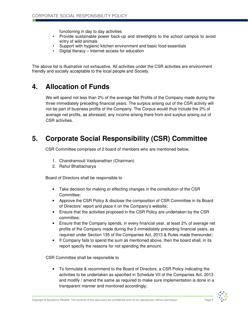functioning in day to day activities

- Provide sustainable power back-up and streetlights to the school campus to avoid entry of wild animals
- Support with hygienic kitchen environment and basic food essentials
- Digital literacy Internet access for education

The above list is illustrative not exhaustive. All activities under the CSR activities are environment friendly and socially acceptable to the local people and Society.

#### **4. Allocation of Funds**

We will spend not less than 2% of the average Net Profits of the Company made during the three immediately preceding financial years. The surplus arising out of the CSR activity will not be part of business profits of the Company. The Corpus would thus include the 2% of average net profits, as aforesaid, any income arising there from and surplus arising out of CSR activities.

## **5. Corporate Social Responsibility (CSR) Committee**

CSR Committee comprises of 2 board of members who are mentioned below,

- 1. Chandramouli Vaidyanathan (Chairman)
- 2. Rahul Bhattacharya

Board of Directors shall be responsible to

- Take decision for making or effecting changes in the constitution of the CSR Committee;
- Approve the CSR Policy & disclose the composition of CSR Committee in its Board of Directors' report and place it on the Company's website;
- Ensure that the activities proposed in the CSR Policy are undertaken by the CSR committee;
- Ensure that the Company spends, in every financial year, at least 2% of average net profits of the Company made during the 3 immediately preceding financial years, as required under Section 135 of the Companies Act, 2013 & Rules made thereunder;
- If Company fails to spend the sum as mentioned above, then the board shall, in its report specify the reasons for not spending the amount.

CSR Committee shall be responsible to

• To formulate & recommend to the Board of Directors, a CSR Policy indicating the activities to be undertaken as specified in Schedule VII of the Companies Act, 2013 and modify / amend the same as required to make sure implementation is done in a transparent manner and monitored accordingly;